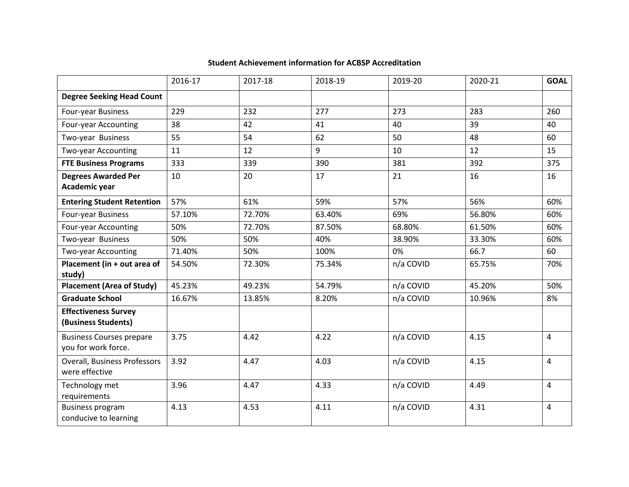|                                                        | 2016-17 | 2017-18 | 2018-19 | 2019-20   | 2020-21 | <b>GOAL</b> |
|--------------------------------------------------------|---------|---------|---------|-----------|---------|-------------|
| <b>Degree Seeking Head Count</b>                       |         |         |         |           |         |             |
| Four-year Business                                     | 229     | 232     | 277     | 273       | 283     | 260         |
| <b>Four-year Accounting</b>                            | 38      | 42      | 41      | 40        | 39      | 40          |
| Two-year Business                                      | 55      | 54      | 62      | 50        | 48      | 60          |
| <b>Two-year Accounting</b>                             | 11      | 12      | 9       | 10        | 12      | 15          |
| <b>FTE Business Programs</b>                           | 333     | 339     | 390     | 381       | 392     | 375         |
| <b>Degrees Awarded Per</b><br>Academic year            | 10      | 20      | 17      | 21        | 16      | 16          |
| <b>Entering Student Retention</b>                      | 57%     | 61%     | 59%     | 57%       | 56%     | 60%         |
| Four-year Business                                     | 57.10%  | 72.70%  | 63.40%  | 69%       | 56.80%  | 60%         |
| Four-year Accounting                                   | 50%     | 72.70%  | 87.50%  | 68.80%    | 61.50%  | 60%         |
| Two-year Business                                      | 50%     | 50%     | 40%     | 38.90%    | 33.30%  | 60%         |
| Two-year Accounting                                    | 71.40%  | 50%     | 100%    | 0%        | 66.7    | 60          |
| Placement (in + out area of<br>study)                  | 54.50%  | 72.30%  | 75.34%  | n/a COVID | 65.75%  | 70%         |
| <b>Placement (Area of Study)</b>                       | 45.23%  | 49.23%  | 54.79%  | n/a COVID | 45.20%  | 50%         |
| <b>Graduate School</b>                                 | 16.67%  | 13.85%  | 8.20%   | n/a COVID | 10.96%  | 8%          |
| <b>Effectiveness Survey</b><br>(Business Students)     |         |         |         |           |         |             |
| <b>Business Courses prepare</b><br>you for work force. | 3.75    | 4.42    | 4.22    | n/a COVID | 4.15    | 4           |
| <b>Overall, Business Professors</b><br>were effective  | 3.92    | 4.47    | 4.03    | n/a COVID | 4.15    | 4           |
| Technology met<br>requirements                         | 3.96    | 4.47    | 4.33    | n/a COVID | 4.49    | 4           |
| <b>Business program</b><br>conducive to learning       | 4.13    | 4.53    | 4.11    | n/a COVID | 4.31    | 4           |

## **Student Achievement information for ACBSP Accreditation**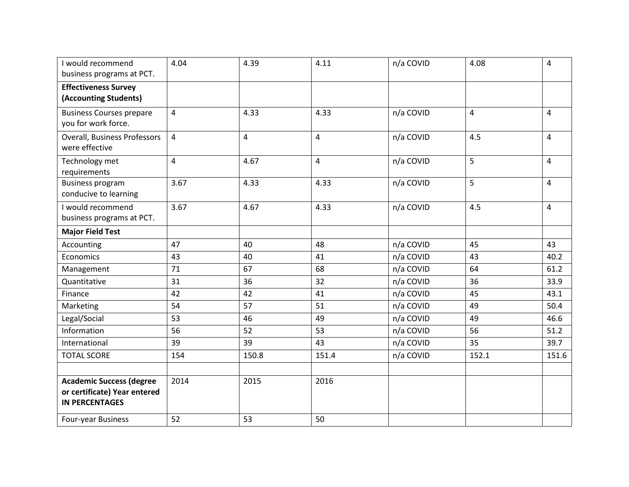| I would recommend                                | 4.04           | 4.39           | 4.11           | n/a COVID | 4.08                    | 4              |
|--------------------------------------------------|----------------|----------------|----------------|-----------|-------------------------|----------------|
| business programs at PCT.                        |                |                |                |           |                         |                |
| <b>Effectiveness Survey</b>                      |                |                |                |           |                         |                |
| (Accounting Students)                            |                |                |                |           |                         |                |
| <b>Business Courses prepare</b>                  | $\overline{4}$ | 4.33           | 4.33           | n/a COVID | $\overline{\mathbf{4}}$ | 4              |
| you for work force.                              |                |                |                |           |                         |                |
| <b>Overall, Business Professors</b>              | $\overline{4}$ | $\overline{4}$ | $\overline{4}$ | n/a COVID | 4.5                     | $\overline{4}$ |
| were effective                                   |                |                |                |           |                         |                |
| Technology met                                   | $\overline{4}$ | 4.67           | $\overline{4}$ | n/a COVID | 5                       | 4              |
| requirements                                     |                |                |                |           |                         |                |
| <b>Business program</b><br>conducive to learning | 3.67           | 4.33           | 4.33           | n/a COVID | 5                       | $\overline{4}$ |
|                                                  |                |                |                |           |                         |                |
| I would recommend<br>business programs at PCT.   | 3.67           | 4.67           | 4.33           | n/a COVID | 4.5                     | $\overline{4}$ |
|                                                  |                |                |                |           |                         |                |
| <b>Major Field Test</b>                          |                |                |                |           |                         |                |
| Accounting                                       | 47             | 40             | 48             | n/a COVID | 45                      | 43             |
| Economics                                        | 43             | 40             | 41             | n/a COVID | 43                      | 40.2           |
| Management                                       | 71             | 67             | 68             | n/a COVID | 64                      | 61.2           |
| Quantitative                                     | 31             | 36             | 32             | n/a COVID | 36                      | 33.9           |
| Finance                                          | 42             | 42             | 41             | n/a COVID | 45                      | 43.1           |
| Marketing                                        | 54             | 57             | 51             | n/a COVID | 49                      | 50.4           |
| Legal/Social                                     | 53             | 46             | 49             | n/a COVID | 49                      | 46.6           |
| Information                                      | 56             | 52             | 53             | n/a COVID | 56                      | 51.2           |
| International                                    | 39             | 39             | 43             | n/a COVID | 35                      | 39.7           |
| <b>TOTAL SCORE</b>                               | 154            | 150.8          | 151.4          | n/a COVID | 152.1                   | 151.6          |
|                                                  |                |                |                |           |                         |                |
| <b>Academic Success (degree</b>                  | 2014           | 2015           | 2016           |           |                         |                |
| or certificate) Year entered                     |                |                |                |           |                         |                |
| <b>IN PERCENTAGES</b>                            |                |                |                |           |                         |                |
| Four-year Business                               | 52             | 53             | 50             |           |                         |                |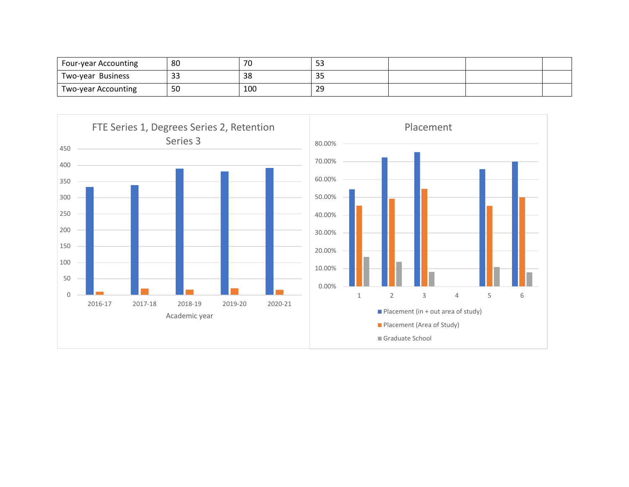| Four-year Accounting | 80           | $\overline{\phantom{a}}$ | - -<br>- - - |  |  |
|----------------------|--------------|--------------------------|--------------|--|--|
| Two-year Business    | $\sim$<br>33 | 38                       | っこ<br>၁၁     |  |  |
| Two-year Accounting  | 50           | 100                      | 29           |  |  |

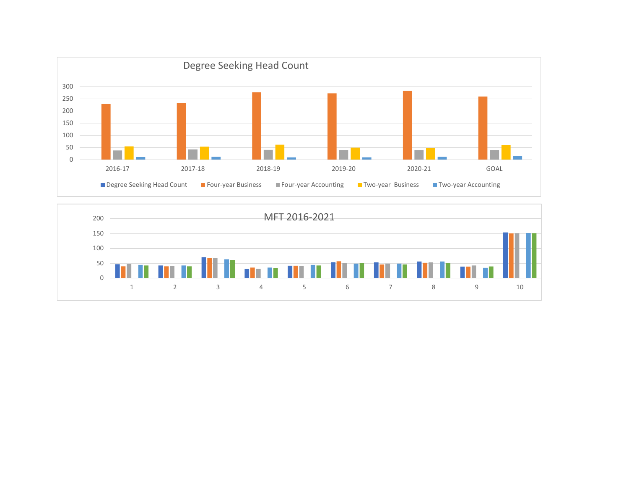